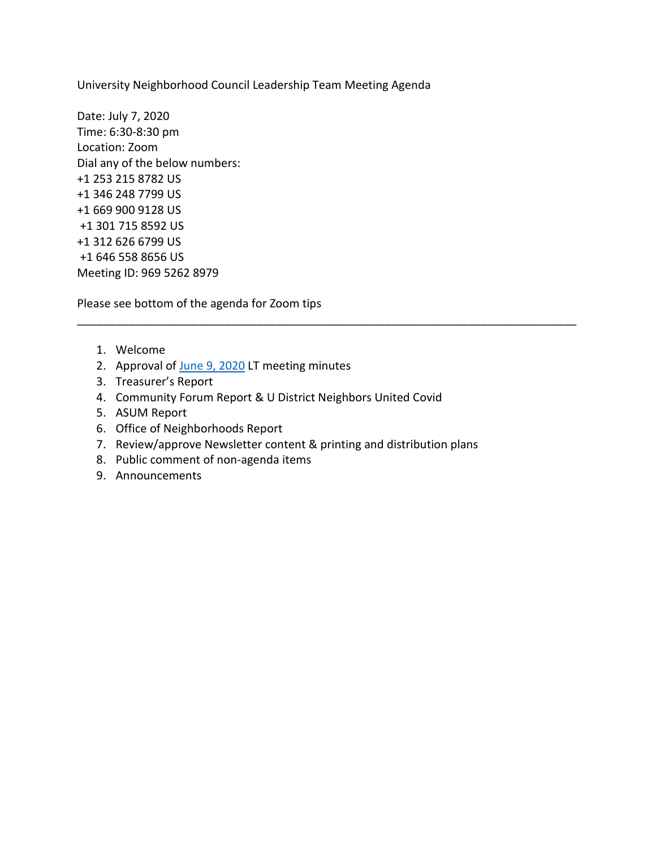University Neighborhood Council Leadership Team Meeting Agenda

Date: July 7, 2020 Time: 6:30-8:30 pm Location: Zoom Dial any of the below numbers: +1 253 215 8782 US +1 346 248 7799 US +1 669 900 9128 US +1 301 715 8592 US +1 312 626 6799 US +1 646 558 8656 US Meeting ID: 969 5262 8979

Please see bottom of the agenda for Zoom tips

- 1. Welcome
- 2. Approval of [June 9, 2020](https://www.ci.missoula.mt.us/ArchiveCenter/ViewFile/Item/15213) LT meeting minutes
- 3. Treasurer's Report
- 4. Community Forum Report & U District Neighbors United Covid
- 5. ASUM Report
- 6. Office of Neighborhoods Report
- 7. Review/approve Newsletter content & printing and distribution plans

\_\_\_\_\_\_\_\_\_\_\_\_\_\_\_\_\_\_\_\_\_\_\_\_\_\_\_\_\_\_\_\_\_\_\_\_\_\_\_\_\_\_\_\_\_\_\_\_\_\_\_\_\_\_\_\_\_\_\_\_\_\_\_\_\_\_\_\_\_\_\_\_\_\_\_\_\_\_

- 8. Public comment of non-agenda items
- 9. Announcements